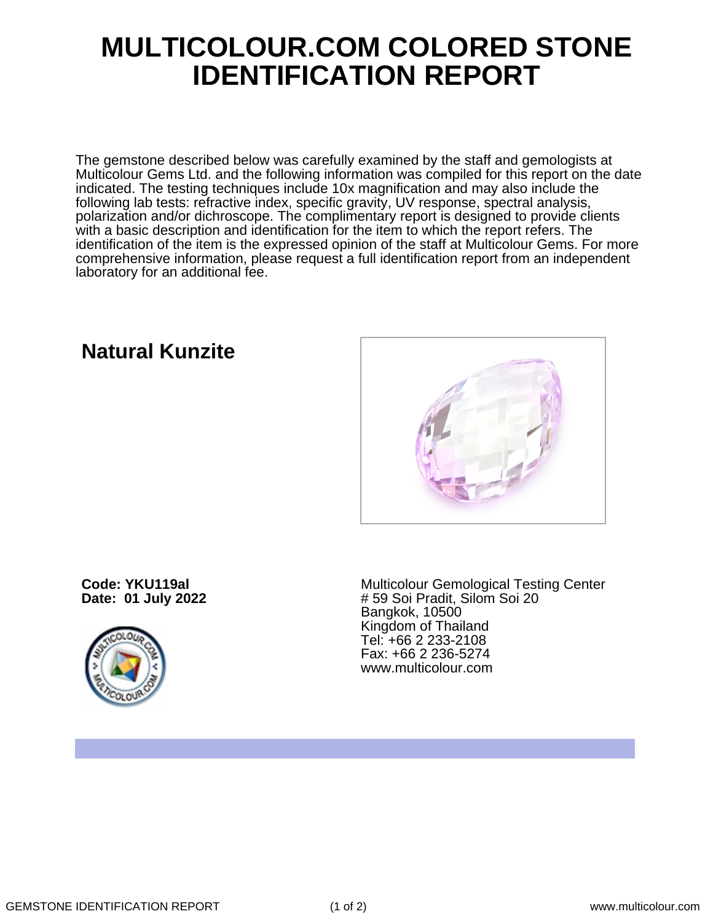## **MULTICOLOUR.COM COLORED STONE IDENTIFICATION REPORT**

The gemstone described below was carefully examined by the staff and gemologists at Multicolour Gems Ltd. and the following information was compiled for this report on the date indicated. The testing techniques include 10x magnification and may also include the following lab tests: refractive index, specific gravity, UV response, spectral analysis, polarization and/or dichroscope. The complimentary report is designed to provide clients with a basic description and identification for the item to which the report refers. The identification of the item is the expressed opinion of the staff at Multicolour Gems. For more comprehensive information, please request a full identification report from an independent laboratory for an additional fee.

**Code: YKU119al Date: 01 July 2022**



Multicolour Gemological Testing Center # 59 Soi Pradit, Silom Soi 20 Bangkok, 10500 Kingdom of Thailand Tel: +66 2 233-2108 Fax: +66 2 236-5274 www.multicolour.com

**Natural Kunzite**